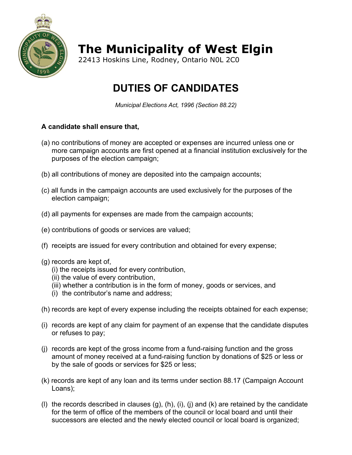

**The Municipality of West Elgin**

22413 Hoskins Line, Rodney, Ontario N0L 2C0

## **DUTIES OF CANDIDATES**

*Municipal Elections Act, 1996 (Section 88.22)*

## **A candidate shall ensure that,**

- (a) no contributions of money are accepted or expenses are incurred unless one or more campaign accounts are first opened at a financial institution exclusively for the purposes of the election campaign;
- (b) all contributions of money are deposited into the campaign accounts;
- (c) all funds in the campaign accounts are used exclusively for the purposes of the election campaign;
- (d) all payments for expenses are made from the campaign accounts;
- (e) contributions of goods or services are valued;
- (f) receipts are issued for every contribution and obtained for every expense;
- (g) records are kept of,
	- (i) the receipts issued for every contribution,
	- (ii) the value of every contribution,
	- (iii) whether a contribution is in the form of money, goods or services, and
	- (i) the contributor's name and address;
- (h) records are kept of every expense including the receipts obtained for each expense;
- (i) records are kept of any claim for payment of an expense that the candidate disputes or refuses to pay;
- (j) records are kept of the gross income from a fund-raising function and the gross amount of money received at a fund-raising function by donations of \$25 or less or by the sale of goods or services for \$25 or less;
- (k) records are kept of any loan and its terms under section 88.17 (Campaign Account Loans);
- (I) the records described in clauses  $(g)$ ,  $(h)$ ,  $(i)$ ,  $(i)$  and  $(k)$  are retained by the candidate for the term of office of the members of the council or local board and until their successors are elected and the newly elected council or local board is organized;